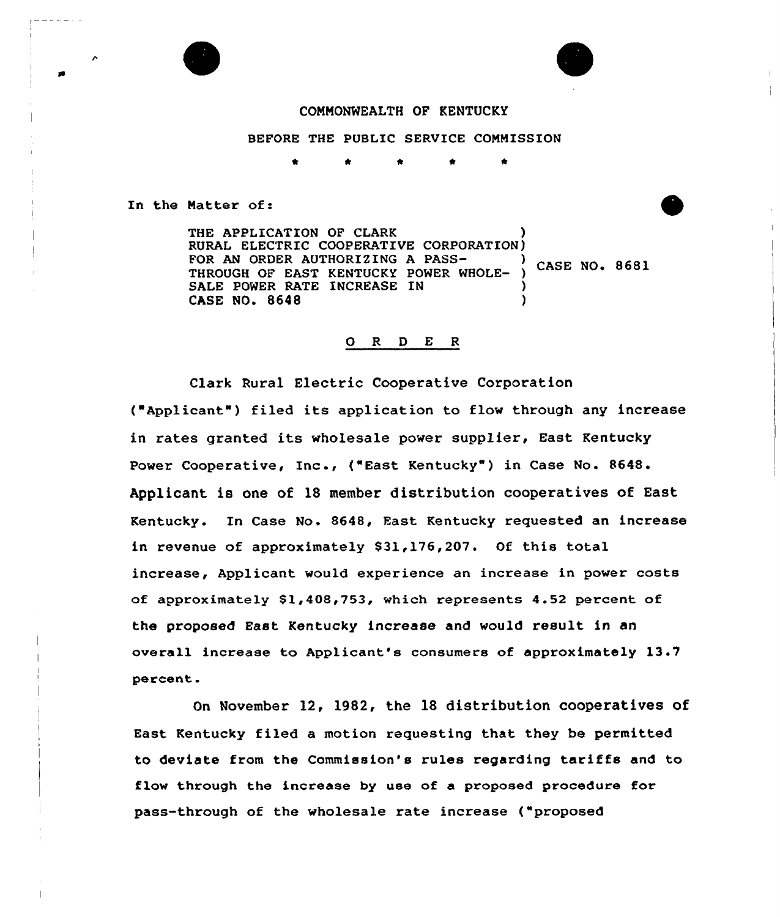

## COMMONWEALTH OF KENTUCKY

BEFORE THE PUBLIC SERVICE COMMISSION

\*

In the Matter of:

THE APPLICATION OF CLARK RURAL ELECTRIC COOPERATIVE CORPORATION)<br>FOR AN ORDER AUTHORIZING A PASS-FOR AN ORDER AUTHORIZING A PASS-<br>THROUGH OF EAST KENTUCKY POWER WHOLE- ) CASE NO. 8681 SALE POWER RATE INCREASE IN CASE NO. 8648 )

# 0 R <sup>D</sup> E <sup>R</sup>

Clark Rural Electric Cooperative Corporation ("Applicant") filed its application to flow through any increase in rates granted its wholesale power supplier, East Kentucky Power Cooperative, Inc., ("East Kentucky" ) in Case No. 8648. Applicant is one of 18 member distribution cooperatives of East Kentucky. In Case No. 8648, Fast Kentucky requested an increase in revenue of approximately \$31,176,207. Of this total increase, Applicant would experience an increase in power costs of approximately  $$1,408,753$ , which represents 4.52 percent of the proposed East Kentucky increase and would result in an overall increase to Applicant's consumers of approximately 13' percent.

On November 12, 1982, the 18 distribution cooperatives of East Kentucky filed a motion requesting that they be permitted to deviate from the Commission's rules regarding tariffs and to flow through the increase by use of a proposed procedure for pass-through of the wholesale rate increase ("proposed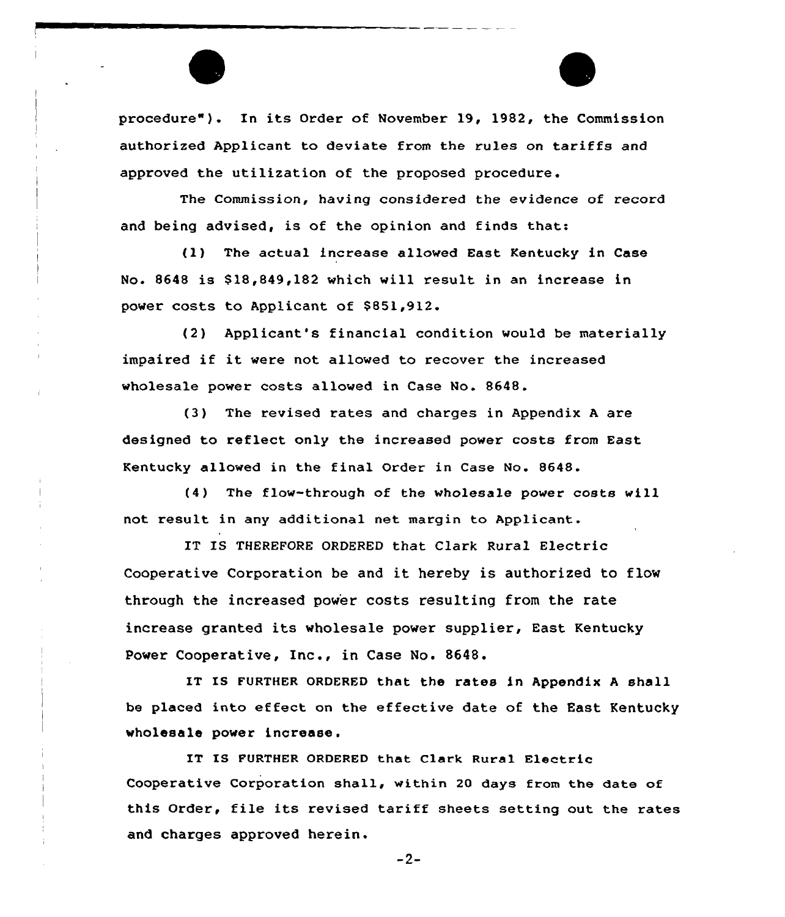procedure"). In its Order of November 19, 1982, the Commission authorized Applicant to deviate from the rules on tariffs and approved the utilization of the proposed procedure.

The Commission, having considered the evidence of record and being advised, is of the opinion and finds that:

(1) The actual increase allowed East Kentucky in Case No. 8648 is \$ 18,849,182 which will result in an increase in power costs to Applicant of \$851,912.

(2) Applicant's financial condition would be materially impaired if it were not allowed to recover the increased wholesale power costs allowed in Case No. 8648.

(3) The revised rates and charges in Appendix <sup>A</sup> are designed to reflect only the increased power costs from East Kentucky allowed in the final Order in Case No. 8648.

(4) The flow-through of the wholesale power costs will not result in any additional net margin to Applicant.

IT IS THEREFORE ORDERED that Clark Rural Electric Cooperative Corporation be and it hereby is authorized to flow through the increased power costs resulting from the rate increase granted its wholesale power supplier, East Kentucky Power Cooperative, Inc., in Case No. 8648.

IT IS FURTHER ORDERED that the rates in Appendix A shall be placed into effect on the effective date of the East Kentucky wholesale power increase.

IT IS FURTHER ORDERED that Clark Rural Electric Cooperative Corporation shall, within 20 days from the date of this Order, file its revised tariff sheets setting out the rates and charges approved herein.

-2-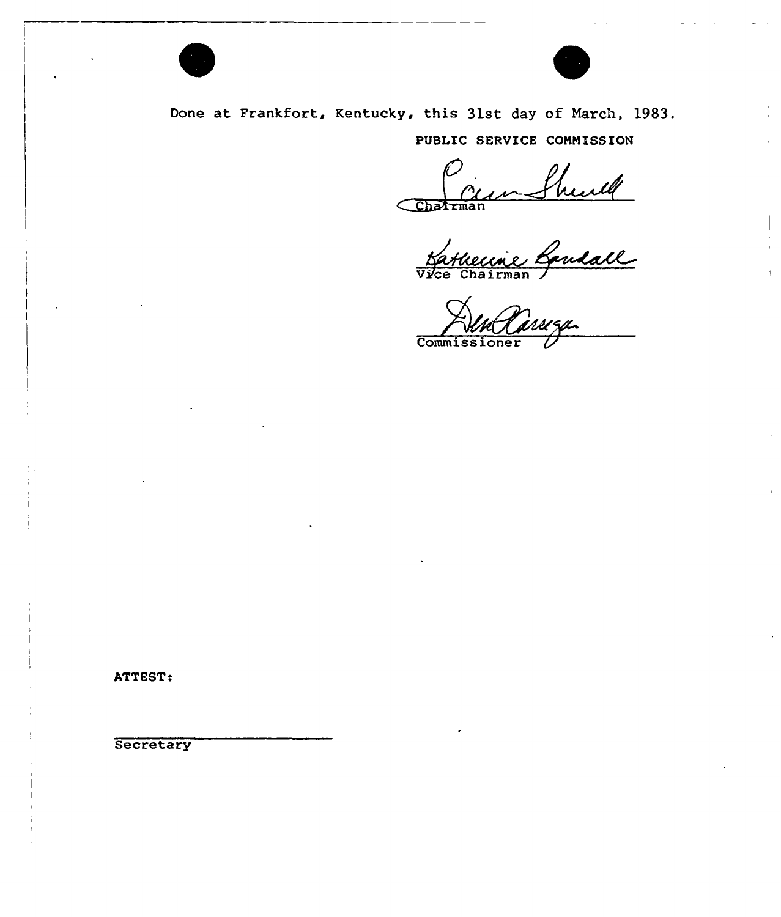



Done at Frankfort, Kentucky, this 31st day of March, 1983. PUBLIC SERVICE CONHISSION

Charman

Natural Contract Contract Contract Contract Contract Contract Contract Contract Contract Contract Contract Contract Contract Contract Contract Contract Contract Contract Contract Contract Contract Contract Contract Contrac

**Commissione** 

ATTEST:

**Secretary**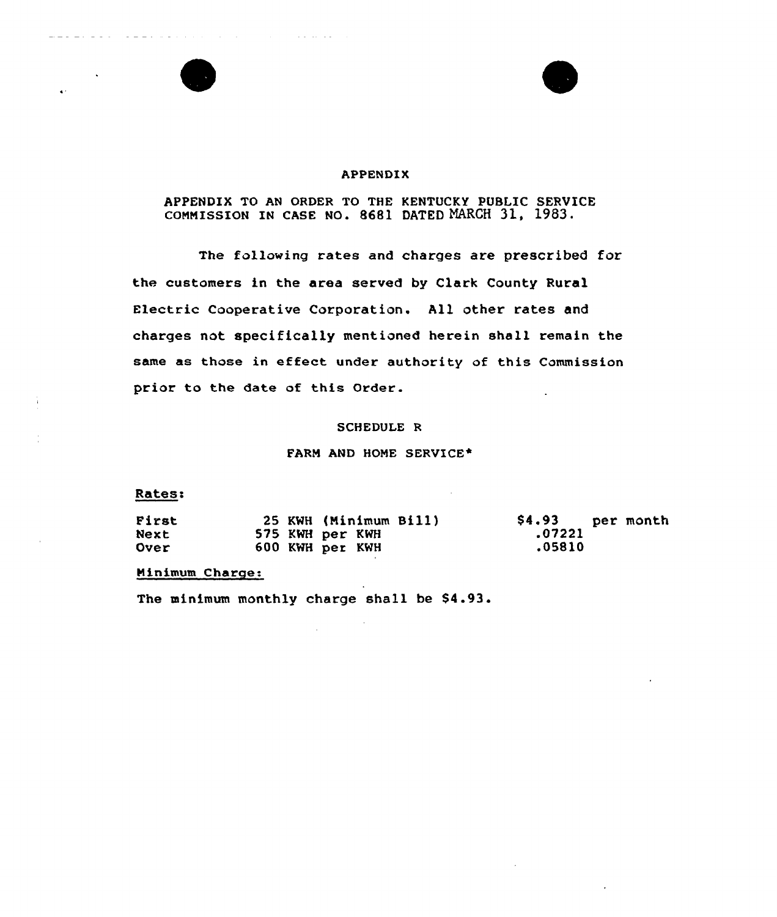## APPENDIX

# APPENDIX TO AN ORDER TO THE KENTUCKY PUBLIC SERVICE coMMrssroN IN CAsE No. 8681 DATED MARCH 31, 1983.

The following rates and charges are prescribed for the customers in the area served by Clark County Rural Electric Cooperative Corporation. All other rates and charges not specifically mentioned herein shall remain the same as those in effect under authority of this Commission prior to the date of this Order.

## SCHEDULE R

#### FARM AND HOME SERVICE\*

# Rates:

 $\mathcal{L} = \mathcal{L} \left( \mathcal{L} \left( \mathcal{L} \right) \right) \mathcal{L} \left( \mathcal{L} \left( \mathcal{L} \right) \right)$ 

 $\alpha$  is a set of the set of the set of the set of  $\alpha$ 

| First       |  | 25 KWH (Minimum Bill) | \$4.93 per month |  |
|-------------|--|-----------------------|------------------|--|
| Next        |  | 575 KWH per KWH       | .07221           |  |
| <b>Over</b> |  | 600 KWH per KWH       | .05810           |  |

## Minimum Charge:

The minimum monthly charge shall be \$4.93.

 $\sim 10^7$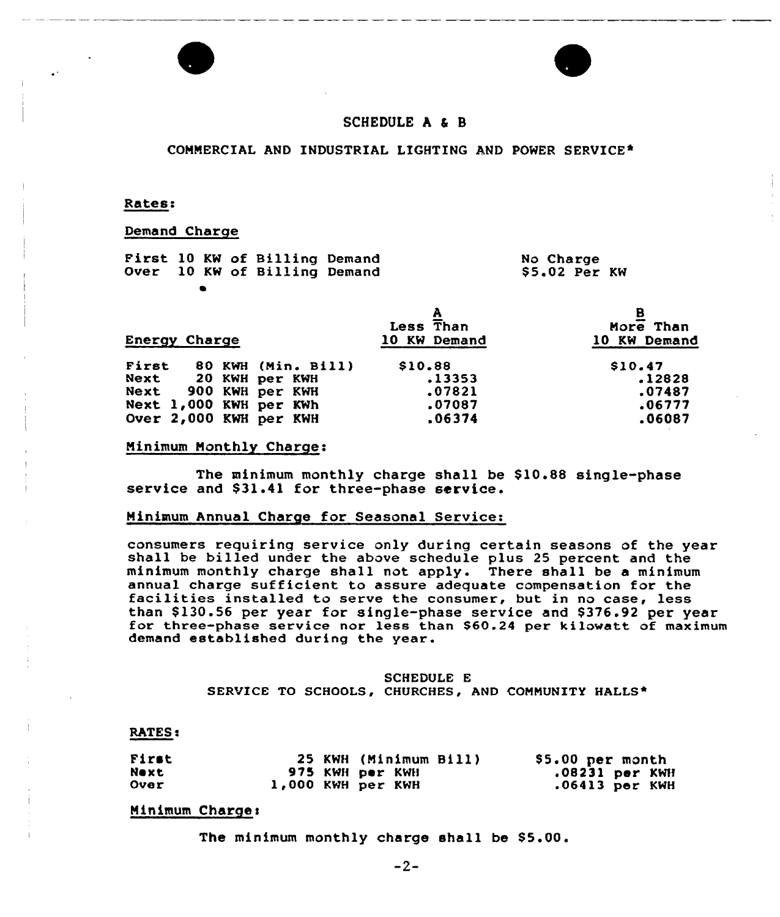



# SCHEDULE A & B

#### CONNERCIAL AND INDUSTRIAL LIGHTING AND POWER SERVICE\*

#### Rates:

## Demand Charge

|  |  | First 10 KW of Billing Demand<br>Over 10 KW of Billing Demand |  | No Charge<br>\$5.02 Per KW |  |
|--|--|---------------------------------------------------------------|--|----------------------------|--|
|  |  |                                                               |  |                            |  |

| <b>Energy Charge</b>   |                    | Less Than<br>10 KW Demand | More Than<br>10 KW Demand |
|------------------------|--------------------|---------------------------|---------------------------|
| First                  | 80 KWH (Min. Bill) | \$10.88                   | \$10.47                   |
| Next 20 KWH per KWH    |                    | .13353                    | .12828                    |
| Next 900 KWH per KWH   |                    | .07821                    | .07487                    |
| Next 1,000 KWH per KWh |                    | .07087                    | .06777                    |
| Over 2,000 KWH per KWH |                    | .06374                    | .06087                    |

## Ninimum Nonthly Charge:

The minimum monthly charge shall be \$10.88 single-phase service and \$31.41 for three-phase service.

#### Ninimum Annual Charge for Seasonal Service:

consumers requiring service only during certain seasons of the year<br>shall be billed under the above schedule plus 25 percent and the minimum monthly charge shall not apply. There shall be a minimum facilities installed to serve the consumer, but in no case, less than \$130.56 per year for single-phase service and \$376.92 per year<br>for three-phase service nor less than \$60.24 per kilowatt of maximum demand established during the year.

## SCHEDULE E SERVICE TO SCHOOLS, CHURCHES, AND CONNUNITY HALLS\*

#### **RATES:**

| First |                   | 25 KWH (Minimum Bill) | \$5.00 per month |
|-------|-------------------|-----------------------|------------------|
| Next  |                   | 975 KWH per KWH       | .08231 per KWH   |
| Over  | 1,000 KWH per KWH |                       | $.06413$ per KWH |

#### Minimum Charge:

The minimum monthly charge shall be \$5.00.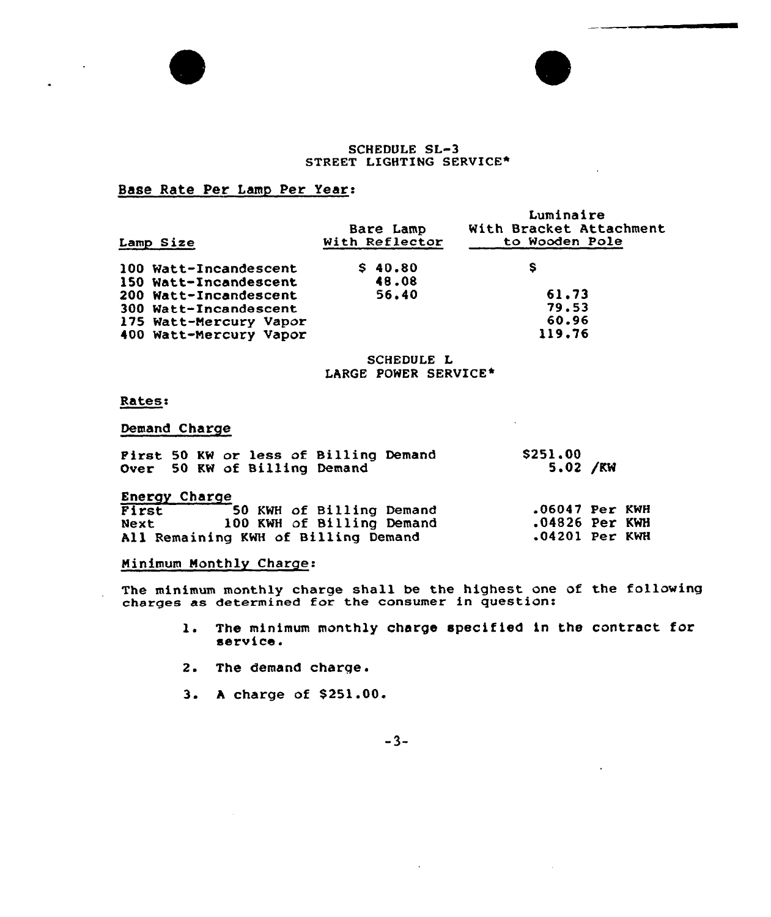## SCHEDULE SL-3 STREET LIGHTING SERVICE\*

# Base Rate Per Lamp Per Year:

| Lamp Size              | Bare Lamp<br>With Reflector | Luminaire<br>With Bracket Attachment<br>to Wooden Pole |
|------------------------|-----------------------------|--------------------------------------------------------|
| 100 Watt-Incandescent  | \$40.80                     | s                                                      |
| 150 Watt-Incandescent  | 48.08                       |                                                        |
| 200 Watt-Incandescent  | 56.40                       | 61.73                                                  |
| 300 Watt-Incandescent  |                             | 79.53                                                  |
| 175 Watt-Mercury Vapor |                             | 60.96                                                  |
| 400 Watt-Mercury Vapor |                             | 119.76                                                 |

## SCHEDULE L LARGE POWER SERVICE\*

## Rates:

 $\overline{a}$ 

# Demand Charge

| First 50 KW or less of Billing Demand<br>Over 50 KW of Billing Demand | \$251,00<br>5.02 / KN |  |
|-----------------------------------------------------------------------|-----------------------|--|
| Energy Charge                                                         |                       |  |
| First<br>50 KWH of Billing Demand                                     | $.06047$ Per KWH      |  |
| 100 KWH of Billing Demand<br>Next                                     | $.04826$ Per KWH      |  |
| All Remaining KWH of Billing Demand                                   | $.04201$ Per KWH      |  |

# Minimum Monthly Charge:

The minimum monthly charge shall be the highest one of the followin charges as determined for the consumer in question:

- 1. The minimum monthly charge specified in the contract for serv ice.
- 2. The demand charge.
- 3. A charge of \$251.00.